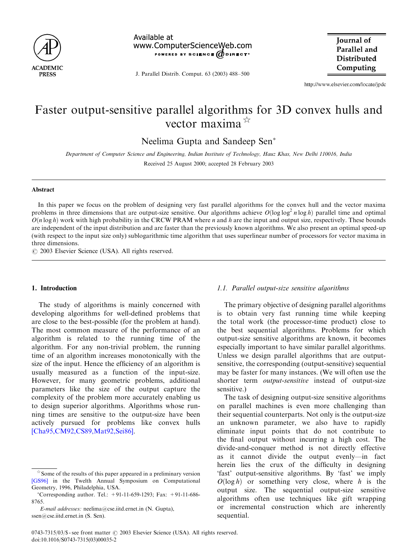

**Journal** of Parallel and **Distributed** Computing

J. Parallel Distrib. Comput. 63 (2003) 488–500

http://www.elsevier.com/locate/jpdc

# Faster output-sensitive parallel algorithms for 3D convex hulls and vector maxima $\mathbb{R}$

Neelima Gupta and Sandeep Sen

Department of Computer Science and Engineering, Indian Institute of Technology, Hauz Khas, New Delhi 110016, India Received 25 August 2000; accepted 28 February 2003

#### Abstract

In this paper we focus on the problem of designing very fast parallel algorithms for the convex hull and the vector maxima problems in three dimensions that are output-size sensitive. Our algorithms achieve  $O(\log \log^2 n \log h)$  parallel time and optimal  $O(n \log h)$  work with high probability in the CRCW PRAM where n and h are the input and output size, respectively. These bounds are independent of the input distribution and are faster than the previously known algorithms. We also present an optimal speed-up (with respect to the input size only) sublogarithmic time algorithm that uses superlinear number of processors for vector maxima in three dimensions.

 $\odot$  2003 Elsevier Science (USA). All rights reserved.

# 1. Introduction

The study of algorithms is mainly concerned with developing algorithms for well-defined problems that are close to the best-possible (for the problem at hand). The most common measure of the performance of an algorithm is related to the running time of the algorithm. For any non-trivial problem, the running time of an algorithm increases monotonically with the size of the input. Hence the efficiency of an algorithm is usually measured as a function of the input-size. However, for many geometric problems, additional parameters like the size of the output capture the complexity of the problem more accurately enabling us to design superior algorithms. Algorithms whose running times are sensitive to the output-size have been actively pursued for problems like convex hulls [\[Cha95,CM92,CS89,Mat92,Sei86\]](#page-11-0).

# 1.1. Parallel output-size sensitive algorithms

The primary objective of designing parallel algorithms is to obtain very fast running time while keeping the total work (the processor-time product) close to the best sequential algorithms. Problems for which output-size sensitive algorithms are known, it becomes especially important to have similar parallel algorithms. Unless we design parallel algorithms that are outputsensitive, the corresponding(output-sensitive) sequential may be faster for many instances. (We will often use the shorter term *output-sensitive* instead of output-size sensitive.)

The task of designing output-size sensitive algorithms on parallel machines is even more challenging than their sequential counterparts. Not only is the output-size an unknown parameter, we also have to rapidly eliminate input points that do not contribute to the final output without incurringa high cost. The divide-and-conquer method is not directly effective as it cannot divide the output evenly—in fact herein lies the crux of the difficulty in designing 'fast' output-sensitive algorithms. By 'fast' we imply  $O(\log h)$  or something very close, where h is the output size. The sequential output-size sensitive algorithms often use techniques like gift wrapping or incremental construction which are inherently sequential.

 $\propto$  Some of the results of this paper appeared in a preliminary version [\[GS96\]](#page-12-0) in the Twelth Annual Symposium on Computational Geometry, 1996, Philadelphia, USA.

<sup>\*</sup>Corresponding author. Tel.:  $+91-11-659-1293$ ; Fax:  $+91-11-686-$ 8765.

E-mail addresses: neelima@cse.iitd.ernet.in (N. Gupta), ssen@cse.iitd.ernet.in (S. Sen).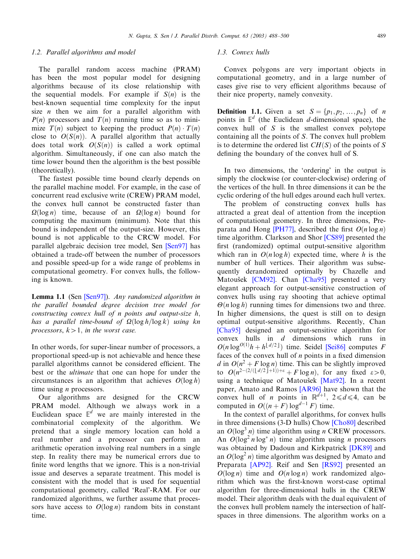#### 1.2. Parallel algorithms and model

The parallel random access machine (PRAM) has been the most popular model for designing algorithms because of its close relationship with the sequential models. For example if  $S(n)$  is the best-known sequential time complexity for the input size *n* then we aim for a parallel algorithm with  $P(n)$  processors and  $T(n)$  running time so as to minimize  $T(n)$  subject to keeping the product  $P(n) \cdot T(n)$ close to  $O(S(n))$ . A parallel algorithm that actually does total work  $O(S(n))$  is called a work optimal algorithm. Simultaneously, if one can also match the time lower bound then the algorithm is the best possible (theoretically).

The fastest possible time bound clearly depends on the parallel machine model. For example, in the case of concurrent read exclusive write (CREW) PRAM model, the convex hull cannot be constructed faster than  $\Omega(\log n)$  time, because of an  $\Omega(\log n)$  bound for computing the maximum (minimum). Note that this bound is independent of the output-size. However, this bound is not applicable to the CRCW model. For parallel algebraic decision tree model, Sen [\[Sen97\]](#page-12-0) has obtained a trade-off between the number of processors and possible speed-up for a wide range of problems in computational geometry. For convex hulls, the following is known.

Lemma 1.1 (Sen [\[Sen97\]](#page-12-0)). Any randomized algorithm in the parallel bounded degree decision tree model for constructing convex hull of n points and output-size h, has a parallel time-bound of  $\Omega(\log h/\log k)$  using kn processors,  $k>1$ , in the worst case.

In other words, for super-linear number of processors, a proportional speed-up is not achievable and hence these parallel algorithms cannot be considered efficient. The best or the ultimate that one can hope for under the circumstances is an algorithm that achieves  $O(\log h)$ time using  $n$  processors.

Our algorithms are designed for the CRCW PRAM model. Although we always work in a Euclidean space  $\mathbb{E}^d$  we are mainly interested in the combinatorial complexity of the algorithm. We pretend that a single memory location can hold a real number and a processor can perform an arithmetic operation involving real numbers in a single step. In reality there may be numerical errors due to finite word lengths that we ignore. This is a non-trivial issue and deserves a separate treatment. This model is consistent with the model that is used for sequential computational geometry, called 'Real'-RAM. For our randomized algorithms, we further assume that processors have access to  $O(\log n)$  random bits in constant time.

# 1.3. Convex hulls

Convex polygons are very important objects in computational geometry, and in a large number of cases give rise to very efficient algorithms because of their nice property, namely convexity.

**Definition 1.1.** Given a set  $S = \{p_1, p_2, \ldots, p_n\}$  of n points in  $\mathbb{E}^d$  (the Euclidean d-dimensional space), the convex hull of S is the smallest convex polytope containing all the points of S. The convex hull problem is to determine the ordered list  $CH(S)$  of the points of S defining the boundary of the convex hull of S.

In two dimensions, the 'ordering' in the output is simply the clockwise (or counter-clockwise) ordering of the vertices of the hull. In three dimensions it can be the cyclic ordering of the hull edges around each hull vertex.

The problem of constructing convex hulls has attracted a great deal of attention from the inception of computational geometry. In three dimensions, Pre-parata and Hong [\[PH77\],](#page-12-0) described the first  $O(n \log n)$ time algorithm. Clarkson and Shor [\[CS89\]](#page-11-0) presented the first (randomized) optimal output-sensitive algorithm which ran in  $O(n \log h)$  expected time, where h is the number of hull vertices. Their algorithm was subsequently derandomized optimally by Chazelle and Matoušek [\[CM92\]](#page-11-0). Chan [\[Cha95\]](#page-11-0) presented a very elegant approach for output-sensitive construction of convex hulls using ray shooting that achieve optimal  $\Theta(n \log h)$  running times for dimensions two and three. In higher dimensions, the quest is still on to design optimal output-sensitive algorithms. Recently, Chan [\[Cha95\]](#page-11-0) designed an output-sensitive algorithm for convex hulls in d dimensions which runs in  $O(n \log^{O(1)} h + h^{\lfloor d/2 \rfloor})$  time. Seidel [\[Sei86\]](#page-12-0) computes F faces of the convex hull of  $n$  points in a fixed dimension d in  $O(n^2 + F \log n)$  time. This can be slightly improved to  $O(n^{2-(2/(\lfloor d/2 \rfloor+1))+\varepsilon}+F \log n)$ , for any fixed  $\varepsilon>0$ , using a technique of Matoušek [\[Mat92\]](#page-12-0). In a recent paper, Amato and Ramos [\[AR96\]](#page-11-0) have shown that the convex hull of *n* points in  $\mathbb{R}^{d+1}$ ,  $2 \le d \le 4$ , can be computed in  $O((n + F) \log^{d-1} F)$  time.

In the context of parallel algorithms, for convex hulls in three dimensions (3-D hulls) Chow [\[Cho80\]](#page-11-0) described an  $O(\log^3 n)$  time algorithm using n CREW processors. An  $O(\log^2 n \log^* n)$  time algorithm using *n* processors was obtained by Dadoun and Kirkpatrick [\[DK89\]](#page-11-0) and an  $O(\log^2 n)$  time algorithm was designed by Amato and Preparata [\[AP92\]](#page-11-0). Reif and Sen [\[RS92\]](#page-12-0) presented an  $O(\log n)$  time and  $O(n \log n)$  work randomized algorithm which was the first-known worst-case optimal algorithm for three-dimensional hulls in the CREW model. Their algorithm deals with the dual equivalent of the convex hull problem namely the intersection of halfspaces in three dimensions. The algorithm works on a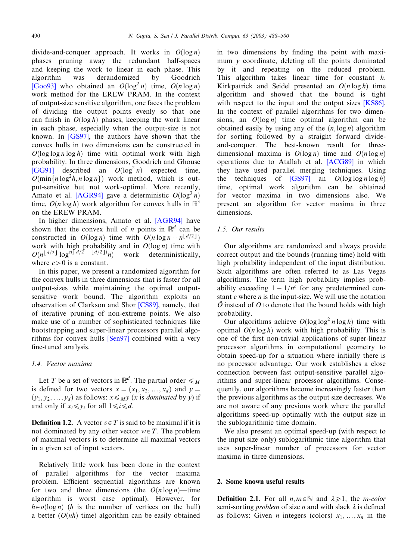divide-and-conquer approach. It works in  $O(\log n)$ phases pruning away the redundant half-spaces and keeping the work to linear in each phase. This algorithm was derandomized by Goodrich [\[Goo93\]](#page-12-0) who obtained an  $O(\log^2 n)$  time,  $O(n \log n)$ work method for the EREW PRAM. In the context of output-size sensitive algorithm, one faces the problem of dividing the output points evenly so that one can finish in  $O(\log h)$  phases, keeping the work linear in each phase, especially when the output-size is not known. In [\[GS97\],](#page-12-0) the authors have shown that the convex hulls in two dimensions can be constructed in  $O(\log \log n \log h)$  time with optimal work with high probability. In three dimensions, Goodrich and Ghouse [\[GG91\]](#page-12-0) described an  $O(\log^2 n)$  expected time,  $O(\min\{n \log^2 h, n \log n\})$  work method, which is output-sensitive but not work-optimal. More recently, Amato et al. [\[AGR94\]](#page-11-0) gave a deterministic  $O(\log^3 n)$ time,  $O(n \log h)$  work algorithm for convex hulls in  $\mathbb{R}^3$ on the EREW PRAM.

In higher dimensions, Amato et al. [\[AGR94\]](#page-11-0) have shown that the convex hull of *n* points in  $\mathbb{R}^d$  can be constructed in  $O(\log n)$  time with  $O(n \log n + n^{\lfloor d/2 \rfloor})$ work with high probability and in  $O(\log n)$  time with  $O(n^{\lfloor d/2 \rfloor} \log^{c(\lceil d/2 \rceil - \lfloor d/2 \rfloor)} n)$  work deterministically, where  $c>0$  is a constant.

In this paper, we present a randomized algorithm for the convex hulls in three dimensions that is faster for all output-sizes while maintaining the optimal outputsensitive work bound. The algorithm exploits an observation of Clarkson and Shor [\[CS89\],](#page-11-0) namely, that of iterative pruning of non-extreme points. We also make use of a number of sophisticated techniques like bootstrappingand super-linear processors parallel algorithms for convex hulls [\[Sen97\]](#page-12-0) combined with a very fine-tuned analysis.

# 1.4. Vector maxima

Let T be a set of vectors in  $\mathbb{R}^d$ . The partial order  $\leq_M$ is defined for two vectors  $x = (x_1, x_2, \dots, x_d)$  and  $y =$  $(y_1, y_2, \ldots, y_d)$  as follows:  $x \leq_M y$  (x is *dominated* by y) if and only if  $x_i \leq y_i$  for all  $1 \leq i \leq d$ .

**Definition 1.2.** A vector  $v \in T$  is said to be maximal if it is not dominated by any other vector  $w \in T$ . The problem of maximal vectors is to determine all maximal vectors in a given set of input vectors.

Relatively little work has been done in the context of parallel algorithms for the vector maxima problem. Efficient sequential algorithms are known for two and three dimensions (the  $O(n \log n)$ —time algorithm is worst case optimal). However, for  $h \in o(\log n)$  (*h* is the number of vertices on the hull) a better  $(O(nh)$  time) algorithm can be easily obtained in two dimensions by finding the point with maximum  $y$  coordinate, deleting all the points dominated by it and repeating on the reduced problem. This algorithm takes linear time for constant  $h$ . Kirkpatrick and Seidel presented an  $O(n \log h)$  time algorithm and showed that the bound is tight with respect to the input and the output sizes [\[KS86\]](#page-12-0). In the context of parallel algorithms for two dimensions, an  $O(\log n)$  time optimal algorithm can be obtained easily by using any of the  $(n, \log n)$  algorithm for sorting followed by a straight forward divideand-conquer. The best-known result for threedimensional maxima is  $O(\log n)$  time and  $O(n \log n)$ operations due to Atallah et al. [\[ACG89\]](#page-11-0) in which they have used parallel merging techniques. Using the techniques of  $[GS97]$  an  $O(\log \log n \log h)$ time, optimal work algorithm can be obtained for vector maxima in two dimensions also. We present an algorithm for vector maxima in three dimensions.

# 1.5. Our results

Our algorithms are randomized and always provide correct output and the bounds (running time) hold with high probability independent of the input distribution. Such algorithms are often referred to as Las Vegas algorithms. The term high probability implies probability exceeding  $1 - 1/n^c$  for any predetermined constant  $c$  where  $n$  is the input-size. We will use the notation  $\tilde{O}$  instead of O to denote that the bound holds with high probability.

Our algorithms achieve  $O(\log \log^2 n \log h)$  time with optimal  $O(n \log h)$  work with high probability. This is one of the first non-trivial applications of super-linear processor algorithms in computational geometry to obtain speed-up for a situation where initially there is no processor advantage. Our work establishes a close connection between fast output-sensitive parallel algorithms and super-linear processor algorithms. Consequently, our algorithms become increasingly faster than the previous algorithms as the output size decreases. We are not aware of any previous work where the parallel algorithms speed-up optimally with the output size in the sublogarithmic time domain.

We also present an optimal speed-up (with respect to the input size only) sublogarithmic time algorithm that uses super-linear number of processors for vector maxima in three dimensions.

#### 2. Some known useful results

**Definition 2.1.** For all  $n, m \in \mathbb{N}$  and  $\lambda \geq 1$ , the *m-color* semi-sorting *problem* of size *n* and with slack  $\lambda$  is defined as follows: Given *n* integers (colors)  $x_1, \ldots, x_n$  in the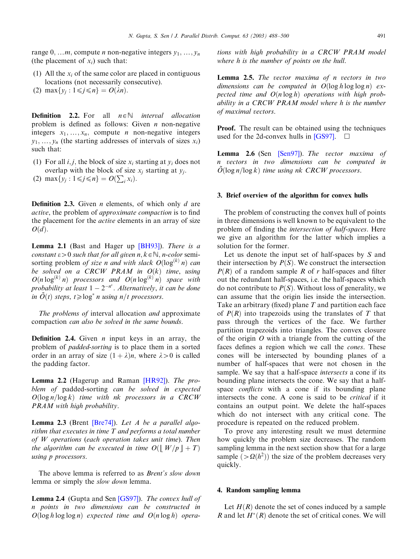range 0, ...m, compute n non-negative integers  $y_1, ..., y_n$ (the placement of  $x_i$ ) such that:

- (1) All the  $x_i$  of the same color are placed in contiguous locations (not necessarily consecutive).
- (2) max $\{y_i : 1 \leq j \leq n\} = O(\lambda n)$ .

**Definition 2.2.** For all  $n \in \mathbb{N}$  interval allocation problem is defined as follows: Given  $n$  non-negative integers  $x_1, \ldots, x_n$ , compute *n* non-negative integers  $y_1, \ldots, y_n$  (the starting addresses of intervals of sizes  $x_i$ ) such that:

- (1) For all *i*, *j*, the block of size  $x_i$  starting at  $y_i$  does not overlap with the block of size  $x_i$  starting at  $y_i$ .
- (2)  $\max\{y_j : 1 \leq j \leq n\} = O(\sum_i x_i).$

**Definition 2.3.** Given *n* elements, of which only  $d$  are active, the problem of approximate compaction is to find the placement for the active elements in an array of size  $O(d)$ .

**Lemma 2.1** (Bast and Hager up  $[BH93]$ ). There is a constant  $\varepsilon > 0$  such that for all given  $n, k \in \mathbb{N}$ , n-color semisorting problem *of size n and with slack*  $O(\log^{(k)} n)$  can be solved on a CRCW PRAM in  $O(k)$  time, using  $O(n \log^{(k)} n)$  processors and  $O(n \log^{(k)} n)$  space with probability at least  $1 - 2^{-n^e}$ . Alternatively, it can be done in  $\tilde{O}(t)$  steps,  $t \geq \log^* n$  using n/t processors.

The problems of interval allocation and approximate compaction can also be solved in the same bounds.

**Definition 2.4.** Given *n* input keys in an array, the problem of padded-sorting is to place them in a sorted order in an array of size  $(1 + \lambda)n$ , where  $\lambda > 0$  is called the padding factor.

Lemma 2.2 (Hagerup and Raman [\[HR92\]](#page-12-0)). The problem of padded-sorting can be solved in expected  $O(\log n/\log k)$  time with nk processors in a CRCW PRAM with high probability.

**Lemma 2.3** (Brent  $[Bre74]$ ). Let A be a parallel algorithm that executes in time  $T$  and performs a total number of W operations (each operation takes unit time). Then the algorithm can be executed in time  $O(|W/p|+T)$ using p processors.

The above lemma is referred to as *Brent's slow down* lemma or simply the *slow down* lemma.

Lemma 2.4 (Gupta and Sen [\[GS97\]](#page-12-0)). The convex hull of n points in two dimensions can be constructed in  $O(\log h \log \log n)$  expected time and  $O(n \log h)$  operations with high probability in a CRCW PRAM model where h is the number of points on the hull.

Lemma 2.5. The vector maxima of n vectors in two dimensions can be computed in  $O(\log h \log \log n)$  expected time and  $O(n \log h)$  operations with high probability in a CRCW PRAM model where h is the number of maximal vectors.

**Proof.** The result can be obtained using the techniques used for the 2d-convex hulls in [\[GS97\]](#page-12-0).  $\Box$ 

Lemma 2.6 (Sen [\[Sen97\]\)](#page-12-0). The vector maxima of n vectors in two dimensions can be computed in  $\tilde{O}(\log n/\log k)$  time using nk CRCW processors.

#### 3. Brief overview of the algorithm for convex hulls

The problem of constructing the convex hull of points in three dimensions is well known to be equivalent to the problem of finding the intersection of half-spaces. Here we give an algorithm for the latter which implies a solution for the former.

Let us denote the input set of half-spaces by S and their intersection by  $P(S)$ . We construct the intersection  $P(R)$  of a random sample R of r half-spaces and filter out the redundant half-spaces, i.e. the half-spaces which do not contribute to  $P(S)$ . Without loss of generality, we can assume that the origin lies inside the intersection. Take an arbitrary (fixed) plane  $T$  and partition each face of  $P(R)$  into trapezoids using the translates of T that pass through the vertices of the face. We further partition trapezoids into triangles. The convex closure of the origin  $O$  with a triangle from the cutting of the faces defines a region which we call the cones. These cones will be intersected by bounding planes of a number of half-spaces that were not chosen in the sample. We say that a half-space *intersects* a cone if its bounding plane intersects the cone. We say that a halfspace *conflicts* with a cone if its bounding plane intersects the cone. A cone is said to be critical if it contains an output point. We delete the half-spaces which do not intersect with any critical cone. The procedure is repeated on the reduced problem.

To prove any interesting result we must determine how quickly the problem size decreases. The random sampling lemma in the next section show that for a large sample  $(>\Omega(h^2))$  the size of the problem decreases very quickly.

#### 4. Random sampling lemma

Let  $H(R)$  denote the set of cones induced by a sample R and let  $H^*(R)$  denote the set of critical cones. We will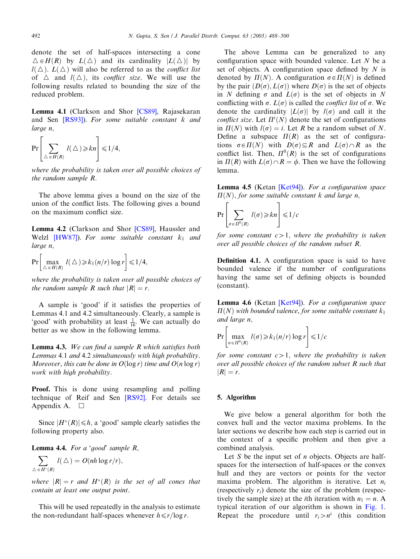denote the set of half-spaces intersecting a cone  $\Delta \in H(R)$  by  $L(\Delta)$  and its cardinality  $|L(\Delta)|$  by  $l(\Delta)$ .  $L(\Delta)$  will also be referred to as the *conflict list* of  $\triangle$  and  $l(\triangle)$ , its *conflict size*. We will use the following results related to bounding the size of the reduced problem.

Lemma 4.1 (Clarkson and Shor [\[CS89\]](#page-11-0), Rajasekaran and Sen  $[RS93]$ ). For some suitable constant  $k$  and large n.

$$
\Pr\left[\sum_{\triangle\in H(R)}l(\triangle)\geq k n\right]\leq 1/4,
$$

where the probability is taken over all possible choices of the random sample R:

The above lemma gives a bound on the size of the union of the conflict lists. The following gives a bound on the maximum conflict size.

Lemma 4.2 (Clarkson and Shor [\[CS89\],](#page-11-0) Haussler and Welzl [\[HW87\]\)](#page-12-0). For some suitable constant  $k_1$  and large n;

$$
\Pr\left[\max_{\Delta \in H(R)} l(\Delta) \geq k_1(n/r) \log r\right] \leq 1/4,
$$

where the probability is taken over all possible choices of the random sample R such that  $|R| = r$ .

A sample is 'good' if it satisfies the properties of Lemmas 4.1 and 4.2 simultaneously. Clearly, a sample is 'good' with probability at least  $\frac{1}{16}$ . We can actually do better as we show in the following lemma.

Lemma 4.3. We can find a sample R which satisfies both Lemmas 4.1 and 4.2 simultaneously with high probability. Moreover, this can be done in  $O(\log r)$  time and  $O(n \log r)$ work with high probability.

**Proof.** This is done using resampling and polling technique of Reif and Sen [\[RS92\].](#page-12-0) For details see Appendix A.  $\Box$ 

Since  $|H^*(R)| \leq h$ , a 'good' sample clearly satisfies the following property also.

**Lemma 4.4.** For a 'good' sample  $R$ ,

$$
\sum_{\Delta \in H^*(R)} l(\Delta) = O(nh \log r/r),
$$

where  $|R| = r$  and  $H^*(R)$  is the set of all cones that contain at least one output point.

This will be used repeatedly in the analysis to estimate the non-redundant half-spaces whenever  $h \le r/\log r$ .

The above Lemma can be generalized to any configuration space with bounded valence. Let N be a set of objects. A configuration space defined by  $N$  is denoted by  $\Pi(N)$ . A configuration  $\sigma \in \Pi(N)$  is defined by the pair  $(D(\sigma), L(\sigma))$  where  $D(\sigma)$  is the set of objects in N defining  $\sigma$  and  $L(\sigma)$  is the set of objects in N conflicting with  $\sigma$ .  $L(\sigma)$  is called the *conflict list* of  $\sigma$ . We denote the cardinality  $|L(\sigma)|$  by  $l(\sigma)$  and call it the conflict size. Let  $\Pi^{i}(N)$  denote the set of configurations in  $\Pi(N)$  with  $l(\sigma) = i$ . Let R be a random subset of N. Define a subspace  $\Pi(R)$  as the set of configurations  $\sigma \in \Pi(N)$  with  $D(\sigma) \subseteq R$  and  $L(\sigma) \cap R$  as the conflict list. Then,  $\Pi^0(R)$  is the set of configurations in  $\Pi(R)$  with  $L(\sigma) \cap R = \phi$ . Then we have the following lemma.

Lemma 4.5 (Ketan [\[Ket94\]](#page-12-0)). For a configuration space  $\Pi(N)$ , for some suitable constant k and large n,

$$
\Pr\left[\sum_{\sigma \in \Pi^0(R)} l(\sigma) \geq k n\right] \leq 1/c
$$

for some constant  $c>1$ , where the probability is taken over all possible choices of the random subset R:

Definition 4.1. A configuration space is said to have bounded valence if the number of configurations having the same set of defining objects is bounded (constant).

**Lemma 4.6** (Ketan  $Ket94$ ). For a configuration space  $\Pi(N)$  with bounded valence, for some suitable constant  $k_1$ and large n;

$$
\Pr\left[\max_{\sigma \in \Pi^0(R)} l(\sigma) \ge k_1(n/r) \log r\right] \le 1/c
$$

for some constant  $c>1$ , where the probability is taken over all possible choices of the random subset R such that  $|R|=r.$ 

#### 5. Algorithm

We give below a general algorithm for both the convex hull and the vector maxima problems. In the later sections we describe how each step is carried out in the context of a specific problem and then give a combined analysis.

Let S be the input set of  $n$  objects. Objects are halfspaces for the intersection of half-spaces or the convex hull and they are vectors or points for the vector maxima problem. The algorithm is iterative. Let  $n_i$ (respectively  $r_i$ ) denote the size of the problem (respectively the sample size) at the *i*th iteration with  $n_1 = n$ . A typical iteration of our algorithm is shown in [Fig. 1](#page-5-0). Repeat the procedure until  $r_i > n^{\varepsilon}$  (this condition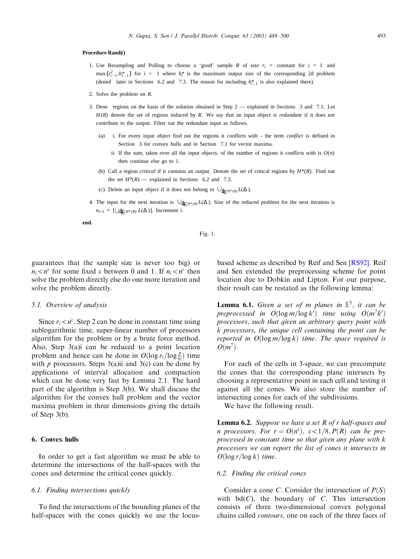#### <span id="page-5-0"></span>**Procedure Rand(***i***)**

- 1. Use Resampling and Polling to choose a 'good' sample *R* of size  $r_i$  = constant for  $i = 1$  and  $\max\{r_{i-1}^2; h_{i-1}^*\}$  for  $i > 1$  where  $h_i^*$  is the maximum output size of the corresponding 2d problem (dened later in Sections 6.2 and 7.3. The reason for including  $h_{i}^*$  is also explained there).
- 2. Solve the problem on *R*.
- 3. Dene regions on the basis of the solution obtained in Step 2 explained in Sections 3 and 7.1. Let *H*(*R*) denote the set of regions induced by *R*. We say that an input object is *redundant* if it does not contribute to the output. Filter out the redundant input as follows.
	- (a) i. For every input object find out the regions it conflicts with the term *conflict* is defined in Section 3 for convex hulls and in Section 7.1 for vector maxima.
		- ii. If the sum, taken over all the input objects, of the number of regions it conflicts with is  $O(n)$ then continue else go to 1.
	- (b) Call a region *critical* if it contains an output. Denote the set of critical regions by  $H^*(R)$ . Find out the set  $H^*(R)$  — explained in Sections 6.2 and 7.3.
	- (c) Delete an input object if it does not belong to  $\bigcup_{\Delta \in H^*(R)} L(\Delta)$ .
- 4. The input for the next iteration is  $\bigcup_{\Delta \in H^*(R)} L(\Delta)$ . Size of the reduced problem for the next iteration is  $n_{i+1} = |\bigcup_{\Delta \in H^*(R)} L(\Delta)|$ . Increment *i*.  $n_{i+1} = |\bigcup_{\Delta \in H^*(R)} L(\Delta)|$ . Increment *i*.

**end.**

# Fig. 1.

guarantees that the sample size is never too big) or  $n_i < n^{\varepsilon}$  for some fixed  $\varepsilon$  between 0 and 1. If  $n_i < n^{\varepsilon}$  then solve the problem directly else do one more iteration and solve the problem directly.

# 5.1. Overview of analysis

Since  $r_i < n^{\varepsilon}$ , Step 2 can be done in constant time using sublogarithmic time, super-linear number of processors algorithm for the problem or by a brute force method. Also, Step 3(a)i can be reduced to a point location problem and hence can be done in  $O(\log r_i/\log \frac{p}{n_i})$  time with  $p$  processors. Steps  $3(a)$ ii and  $3(c)$  can be done by applications of interval allocation and compaction which can be done very fast by Lemma 2.1. The hard part of the algorithm is Step 3(b). We shall discuss the algorithm for the convex hull problem and the vector maxima problem in three dimensions giving the details of Step 3(b).

# 6. Convex hulls

In order to get a fast algorithm we must be able to determine the intersections of the half-spaces with the cones and determine the critical cones quickly.

# 6.1. Finding intersections quickly

To find the intersections of the bounding planes of the half-spaces with the cones quickly we use the locusbased scheme as described by Reif and Sen [\[RS92\]](#page-12-0). Reif and Sen extended the preprocessing scheme for point location due to Dobkin and Lipton. For our purpose, their result can be restated as the following lemma:

**Lemma 6.1.** Given a set of m planes in  $\mathbb{E}^3$ , it can be preprocessed in  $O(\log m / \log k')$  time using  $O(m^7k')$ processors, such that given an arbitrary query point with k processors, the unique cell containing the point can be reported in  $O(\log m/\log k)$  time. The space required is  $O(m^7)$ .

For each of the cells in 3-space, we can precompute the cones that the corresponding plane intersects by choosinga representative point in each cell and testingit against all the cones. We also store the number of intersecting cones for each of the subdivisions.

We have the following result.

Lemma 6.2. Suppose we have a set R of r half-spaces and *n* processors. For  $r = O(n^{\varepsilon})$ ,  $\varepsilon < 1/8$ ,  $P(R)$  can be preprocessed in constant time so that given any plane with k processors we can report the list of cones it intersects in  $O(\log r/\log k)$  time.

# 6.2. Finding the critical cones

Consider a cone C. Consider the intersection of  $P(S)$ with  $bd(C)$ , the boundary of C. This intersection consists of three two-dimensional convex polygonal chains called contours, one on each of the three faces of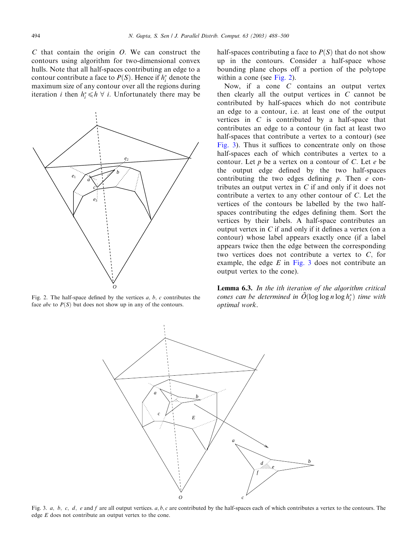$C$  that contain the origin  $O$ . We can construct the contours using algorithm for two-dimensional convex hulls. Note that all half-spaces contributing an edge to a contour contribute a face to  $P(S)$ . Hence if  $h_i^*$  denote the maximum size of any contour over all the regions during iteration *i* then  $h_i^* \leq h \ \forall i$ . Unfortunately there may be



Fig. 2. The half-space defined by the vertices  $a, b, c$  contributes the face *abc* to  $P(S)$  but does not show up in any of the contours.

half-spaces contributing a face to  $P(S)$  that do not show up in the contours. Consider a half-space whose bounding plane chops off a portion of the polytope within a cone (see Fig. 2).

Now, if a cone  $C$  contains an output vertex then clearly all the output vertices in  $C$  cannot be contributed by half-spaces which do not contribute an edge to a contour, i.e. at least one of the output vertices in  $C$  is contributed by a half-space that contributes an edge to a contour (in fact at least two half-spaces that contribute a vertex to a contour) (see Fig. 3). Thus it suffices to concentrate only on those half-spaces each of which contributes a vertex to a contour. Let  $p$  be a vertex on a contour of  $C$ . Let  $e$  be the output edge defined by the two half-spaces contributing the two edges defining  $p$ . Then  $e$  contributes an output vertex in C if and only if it does not contribute a vertex to any other contour of  $C$ . Let the vertices of the contours be labelled by the two halfspaces contributing the edges defining them. Sort the vertices by their labels. A half-space contributes an output vertex in C if and only if it defines a vertex (on a contour) whose label appears exactly once (if a label appears twice then the edge between the corresponding two vertices does not contribute a vertex to  $C$ , for example, the edge  $E$  in Fig. 3 does not contribute an output vertex to the cone).

Lemma 6.3. In the ith iteration of the algorithm critical cones can be determined in  $\tilde{O}(\log \log n \log h_i^*)$  time with optimal work.



Fig. 3. a, b, c, d, e and f are all output vertices.  $a, b, c$  are contributed by the half-spaces each of which contributes a vertex to the contours. The edge E does not contribute an output vertex to the cone.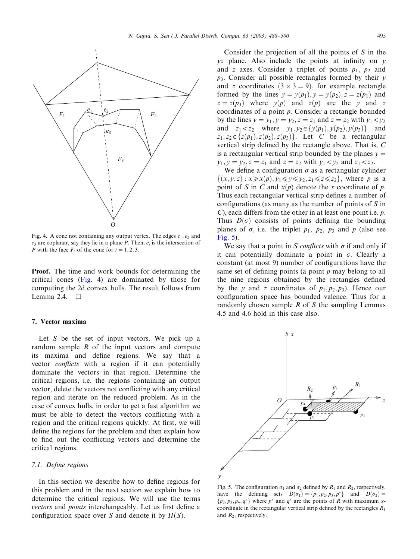<span id="page-7-0"></span>

Fig. 4. A cone not containing any output vertex. The edges  $e_1, e_2$  and  $e_3$  are coplanar, say they lie in a plane P. Then,  $e_i$  is the intersection of P with the face  $F_i$  of the cone for  $i = 1, 2, 3$ .

**Proof.** The time and work bounds for determining the critical cones (Fig. 4) are dominated by those for computing the 2d convex hulls. The result follows from Lemma 2.4.  $\Box$ 

# 7. Vector maxima

Let  $S$  be the set of input vectors. We pick up a random sample  $R$  of the input vectors and compute its maxima and define regions. We say that a vector *conflicts* with a region if it can potentially dominate the vectors in that region. Determine the critical regions, i.e. the regions containing an output vector, delete the vectors not conflicting with any critical region and iterate on the reduced problem. As in the case of convex hulls, in order to get a fast algorithm we must be able to detect the vectors conflicting with a region and the critical regions quickly. At first, we will define the regions for the problem and then explain how to find out the conflicting vectors and determine the critical regions.

#### 7.1. Define regions

In this section we describe how to define regions for this problem and in the next section we explain how to determine the critical regions. We will use the terms vectors and points interchangeably. Let us first define a configuration space over S and denote it by  $\Pi(S)$ .

Consider the projection of all the points of S in the  $yz$  plane. Also include the points at infinity on  $y$ and z axes. Consider a triplet of points  $p_1$ ,  $p_2$  and  $p_3$ . Consider all possible rectangles formed by their y and z coordinates  $(3 \times 3 = 9)$ , for example rectangle formed by the lines  $y = y(p_1), y = y(p_2), z = z(p_1)$  and  $z = z(p_3)$  where  $y(p)$  and  $z(p)$  are the y and z coordinates of a point p: Consider a rectangle bounded by the lines  $y = y_1, y = y_2, z = z_1$  and  $z = z_2$  with  $y_1 < y_2$ and  $z_1 < z_2$  where  $y_1, y_2 \in \{y(p_1), y(p_2), y(p_3)\}$  and  $z_1, z_2 \in \{z(p_1), z(p_2), z(p_3)\}\$ . Let C be a rectangular vertical strip defined by the rectangle above. That is, C is a rectangular vertical strip bounded by the planes  $y =$  $y_1, y = y_2, z = z_1$  and  $z = z_2$  with  $y_1 < y_2$  and  $z_1 < z_2$ .

We define a configuration  $\sigma$  as a rectangular cylinder  $\{(x, y, z) : x \geq x(p), y_1 \leq y \leq y_2, z_1 \leq z \leq z_2\}$ , where p is a point of S in C and  $x(p)$  denote the x coordinate of p. Thus each rectangular vertical strip defines a number of configurations (as many as the number of points of S in  $C$ , each differs from the other in at least one point i.e.  $p$ . Thus  $D(\sigma)$  consists of points defining the bounding planes of  $\sigma$ , i.e. the triplet  $p_1$ ,  $p_2$ ,  $p_3$  and  $p$  (also see Fig. 5).

We say that a point in S conflicts with  $\sigma$  if and only if it can potentially dominate a point in  $\sigma$ . Clearly a constant (at most 9) number of configurations have the same set of defining points (a point  $p$  may belong to all the nine regions obtained by the rectangles defined by the y and z coordinates of  $p_1, p_2, p_3$ ). Hence our configuration space has bounded valence. Thus for a randomly chosen sample  $R$  of  $S$  the sampling Lemmas 4.5 and 4.6 hold in this case also.



Fig. 5. The configuration  $\sigma_1$  and  $\sigma_2$  defined by  $R_1$  and  $R_2$ , respectively, have the defining sets  $D(\sigma_1) = \{p_1, p_2, p_3, p^*\}$  and  $D(\sigma_2) =$  $\{p_2, p_3, p_4, q^*\}$  where  $p^*$  and  $q^*$  are the points of R with maximum xcoordinate in the rectangular vertical strip defined by the rectangles  $R_1$ and  $R_2$ , respectively.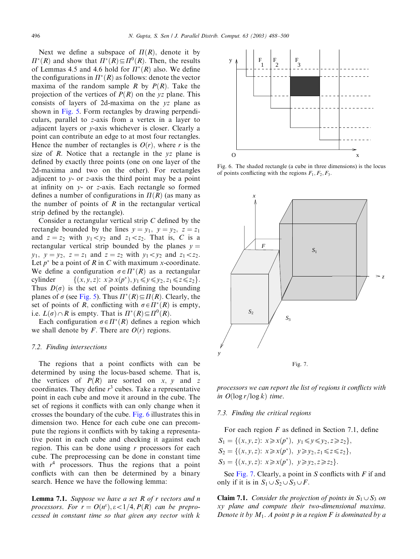Next we define a subspace of  $\Pi(R)$ , denote it by  $\Pi^*(R)$  and show that  $\Pi^*(R) \subseteq \Pi^0(R)$ . Then, the results of Lemmas 4.5 and 4.6 hold for  $\Pi^*(R)$  also. We define the configurations in  $\Pi^*(R)$  as follows: denote the vector maxima of the random sample R by  $P(R)$ . Take the projection of the vertices of  $P(R)$  on the yz plane. This consists of layers of 2d-maxima on the yz plane as shown in [Fig. 5](#page-7-0). Form rectangles by drawing perpendiculars, parallel to z-axis from a vertex in a layer to adjacent layers or y-axis whichever is closer. Clearly a point can contribute an edge to at most four rectangles. Hence the number of rectangles is  $O(r)$ , where r is the size of  $R$ . Notice that a rectangle in the  $yz$  plane is defined by exactly three points (one on one layer of the 2d-maxima and two on the other). For rectangles adjacent to  $y$ - or  $z$ -axis the third point may be a point at infinity on  $v$ - or  $z$ -axis. Each rectangle so formed defines a number of configurations in  $\Pi(R)$  (as many as the number of points of  $R$  in the rectangular vertical strip defined by the rectangle).

Consider a rectangular vertical strip C defined by the rectangle bounded by the lines  $y = y_1$ ,  $y = y_2$ ,  $z = z_1$ and  $z = z_2$  with  $y_1 < y_2$  and  $z_1 < z_2$ . That is, C is a rectangular vertical strip bounded by the planes  $y =$  $y_1, y = y_2, z = z_1 \text{ and } z = z_2 \text{ with } y_1 < y_2 \text{ and } z_1 < z_2.$ Let  $p^*$  be a point of R in C with maximum x-coordinate. We define a configuration  $\sigma \in \Pi^*(R)$  as a rectangular cylinder  $\{(x, y, z): x \geq x(p^*), y_1 \leq y \leq y_2, z_1 \leq z \leq z_2\}.$ Thus  $D(\sigma)$  is the set of points defining the bounding planes of  $\sigma$  (see [Fig. 5\)](#page-7-0). Thus  $\Pi^*(R) \subseteq \Pi(R)$ . Clearly, the set of points of R, conflicting with  $\sigma \in \Pi^*(R)$  is empty, i.e.  $L(\sigma) \cap R$  is empty. That is  $\Pi^*(R) \subseteq \Pi^0(R)$ .

Each configuration  $\sigma \in \Pi^*(R)$  defines a region which we shall denote by F. There are  $O(r)$  regions.

# 7.2. Finding intersections

The regions that a point conflicts with can be determined by using the locus-based scheme. That is, the vertices of  $P(R)$  are sorted on x, y and z coordinates. They define  $r<sup>3</sup>$  cubes. Take a representative point in each cube and move it around in the cube. The set of regions it conflicts with can only change when it crosses the boundary of the cube. Fig. 6 illustrates this in dimension two. Hence for each cube one can precompute the regions it conflicts with by taking a representative point in each cube and checking it against each region. This can be done using  $r$  processors for each cube. The preprocessing can be done in constant time with  $r<sup>4</sup>$  processors. Thus the regions that a point conflicts with can then be determined by a binary search. Hence we have the following lemma:

**Lemma 7.1.** Suppose we have a set  $R$  of  $r$  vectors and  $n$ processors. For  $r = O(n^{\varepsilon}), \varepsilon < 1/4, P(R)$  can be preprocessed in constant time so that given any vector with k



Fig. 6. The shaded rectangle (a cube in three dimensions) is the locus of points conflicting with the regions  $F_1, F_2, F_3$ .



processors we can report the list of regions it conflicts with in  $O(\log r/\log k)$  time.

# 7.3. Finding the critical regions

For each region  $F$  as defined in Section 7.1, define

 $S_1 = \{(x, y, z): x \geq x(p^*), y_1 \leq y \leq y_2, z \geq z_2\},\$  $S_2 = \{(x, y, z): x \geq x(p^*), y \geq y_2, z_1 \leq z \leq z_2\},\$  $S_3 = \{(x, y, z): x \geq x(p^*), y \geq y_2, z \geq z_2\}.$ 

See Fig. 7. Clearly, a point in S conflicts with  $F$  if and only if it is in  $S_1 \cup S_2 \cup S_3 \cup F$ .

**Claim 7.1.** Consider the projection of points in  $S_1 \cup S_3$  on xy plane and compute their two-dimensional maxima. Denote it by  $M_1$ . A point p in a region F is dominated by a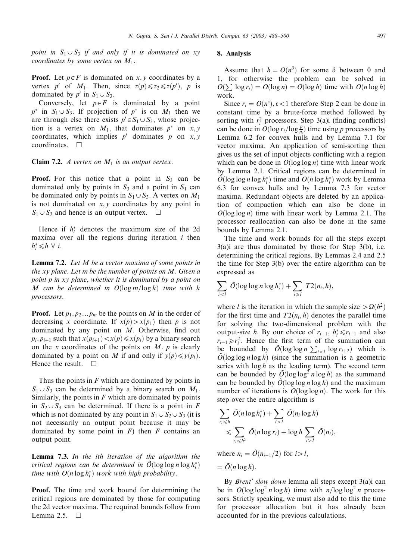point in  $S_1 \cup S_3$  if and only if it is dominated on xy coordinates by some vertex on  $M_1$ .

**Proof.** Let  $p \in F$  is dominated on x, y coordinates by a vertex p' of  $M_1$ . Then, since  $z(p) \le z_2 \le z(p')$ , p is dominated by p' in  $S_1 \cup S_3$ .

Conversely, let  $p \in F$  is dominated by a point  $p^*$  in  $S_1 \cup S_3$ . If projection of  $p^*$  is on  $M_1$  then we are through else there exists  $p' \in S_1 \cup S_3$ , whose projection is a vertex on  $M_1$ , that dominates  $p^*$  on x, v coordinates, which implies  $p'$  dominates p on  $x, y$ coordinates.  $\square$ 

# Claim 7.2. A vertex on  $M_1$  is an output vertex.

**Proof.** For this notice that a point in  $S_3$  can be dominated only by points in  $S_3$  and a point in  $S_1$  can be dominated only by points in  $S_1 \cup S_3$ . A vertex on  $M_1$ is not dominated on  $x, y$  coordinates by any point in  $S_1 \cup S_3$  and hence is an output vertex.  $\Box$ 

Hence if  $h_i^*$  denotes the maximum size of the 2d maxima over all the regions during iteration  $i$  then  $h_i^* \leq h \ \forall \ i.$ 

Lemma 7.2. Let M be a vector maxima of some points in the  $xy$  plane. Let  $m$  be the number of points on  $M$ . Given a point p in xy plane, whether it is dominated by a point on M can be determined in  $O(\log m/\log k)$  time with k processors.

**Proof.** Let  $p_1, p_2...p_m$  be the points on M in the order of decreasing x coordinate. If  $x(p) > x(p_1)$  then p is not dominated by any point on  $M$ . Otherwise, find out  $p_i, p_{i+1}$  such that  $x(p_{i+1}) < x(p) \leq x(p_i)$  by a binary search on the x coordinates of the points on  $M$ .  $p$  is clearly dominated by a point on M if and only if  $v(p) \leq v(p_i)$ . Hence the result.  $\square$ 

Thus the points in  $F$  which are dominated by points in  $S_1 \cup S_3$  can be determined by a binary search on  $M_1$ . Similarly, the points in  $F$  which are dominated by points in  $S_2 \cup S_3$  can be determined. If there is a point in F which is not dominated by any point in  $S_1 \cup S_2 \cup S_3$  (it is not necessarily an output point because it may be dominated by some point in  $F$ ) then  $F$  contains an output point.

Lemma 7.3. In the ith iteration of the algorithm the critical regions can be determined in  $\tilde{O}(\log \log n \log h_i^*)$ time with  $O(n \log h_i^*)$  work with high probability.

Proof. The time and work bound for determining the critical regions are dominated by those for computing the 2d vector maxima. The required bounds follow from Lemma 2.5.  $\Box$ 

#### 8. Analysis

Assume that  $h = O(n^{\delta})$  for some  $\delta$  between 0 and 1; for otherwise the problem can be solved in  $O(\sum \log r_i) = O(\log n) = O(\log h)$  time with  $O(n \log h)$ work.

Since  $r_i = O(n^{\varepsilon}), \varepsilon < 1$  therefore Step 2 can be done in constant time by a brute-force method followed by sorting with  $r_i^2$  processors. Step 3(a)i (finding conflicts) can be done in  $O(\log r_i/\log \frac{p}{n_i})$  time using p processors by Lemma 6.2 for convex hulls and by Lemma 7.1 for vector maxima. An application of semi-sorting then gives us the set of input objects conflicting with a region which can be done in  $O(\log \log n)$  time with linear work by Lemma 2.1. Critical regions can be determined in  $\tilde{O}(\log \log n \log h_i^*)$  time and  $O(n \log h_i^*)$  work by Lemma 6.3 for convex hulls and by Lemma 7.3 for vector maxima. Redundant objects are deleted by an application of compaction which can also be done in  $O(\log \log n)$  time with linear work by Lemma 2.1. The processor reallocation can also be done in the same bounds by Lemma 2.1.

The time and work bounds for all the steps except 3(a)i are thus dominated by those for Step 3(b), i.e. determining the critical regions. By Lemmas 2.4 and 2.5 the time for Step 3(b) over the entire algorithm can be expressed as

$$
\sum_{i < l} \tilde{O}(\log \log n \log h_i^*) + \sum_{i \geq l} T2(n_i, h),
$$

where l is the iteration in which the sample size  $\geq \Omega(h^2)$ for the first time and  $T2(n_i, h)$  denotes the parallel time for solving the two-dimensional problem with the output-size *h*. By our choice of  $r_{i+1}$ ,  $h_i^* \le r_{i+1}$  and also  $r_{i+1} \ge r_i^2$ . Hence the first term of the summation can be bounded by  $\tilde{O}(\log \log n \sum_{i < l} \log r_{i+2})$  which is  $\tilde{O}(\log \log n \log h)$  (since the summation is a geometric series with  $\log h$  as the leading term). The second term can be bounded by  $\tilde{O}(\log \log^2 n \log h)$  as the summand can be bounded by  $\tilde{O}(\log \log n \log h)$  and the maximum number of iterations is  $O(\log \log n)$ . The work for this step over the entire algorithm is

$$
\sum_{r_i \leq h} \tilde{O}(n \log h_i^*) + \sum_{i > l} \tilde{O}(n_i \log h)
$$
\n
$$
\leqslant \sum_{r_i \leqslant h^2} \tilde{O}(n \log r_i) + \log h \sum_{i > l} \tilde{O}(n_i),
$$

where  $n_i = \tilde{O}(n_{i-1}/2)$  for  $i > l$ ,

 $= \tilde{O}(n \log h).$ 

By Brent' slow down lemma all steps except 3(a)i can be in  $O(\log \log^2 n \log h)$  time with  $n/\log \log^2 n$  processors. Strictly speaking, we must also add to this the time for processor allocation but it has already been accounted for in the previous calculations.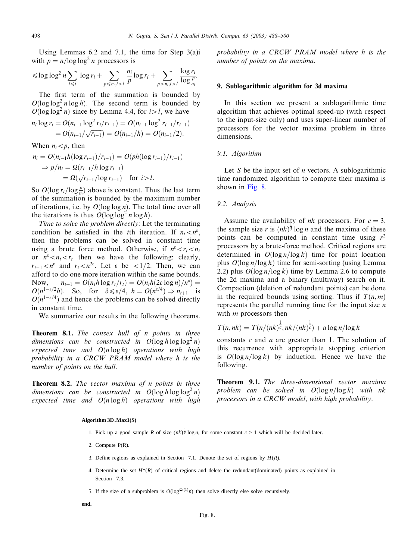Using Lemmas  $6.2$  and  $7.1$ , the time for Step  $3(a)i$ with  $p = n/\log \log^2 n$  processors is

$$
\leq \log \log^2 n \sum_{i \leq l} \log r_i + \sum_{p \leq n_i, i > l} \frac{n_i}{p} \log r_i + \sum_{p > n_i, i > l} \frac{\log r_i}{\log \frac{p}{n_i}}.
$$

The first term of the summation is bounded by  $O(\log \log^2 n \log h)$ . The second term is bounded by  $O(\log \log^2 n)$  since by Lemma 4.4, for  $i > l$ , we have

$$
n_i \log r_i = O(n_{i-1} \log^2 r_i/r_{i-1}) = O(n_{i-1} \log^2 r_{i-1}/r_{i-1})
$$
  
=  $O(n_{i-1}/\sqrt{r_{i-1}}) = O(n_{i-1}/h) = O(n_{i-1}/2).$ 

When  $n_i < p$ , then

$$
n_i = O(n_{i-1}h(\log r_{i-1})/r_{i-1}) = O(ph(\log r_{i-1})/r_{i-1})
$$
  
\n
$$
\Rightarrow p/n_i = \Omega(r_{i-1}/h \log r_{i-1})
$$
  
\n
$$
= \Omega(\sqrt{r_{i-1}}/\log r_{i-1}) \text{ for } i > l.
$$

So  $O(\log r_i/\log \frac{p}{n_i})$  above is constant. Thus the last term of the summation is bounded by the maximum number of iterations, i.e. by  $O(\log \log n)$ . The total time over all the iterations is thus  $O(\log \log^2 n \log h)$ .

Time to solve the problem directly: Let the terminating condition be satisfied in the *t*th iteration. If  $n_t < n^{\varepsilon}$ , then the problems can be solved in constant time using a brute force method. Otherwise, if  $n^{\varepsilon} < r_t < n_t$ or  $n^{\varepsilon} < n_t < r_t$  then we have the following: clearly,  $r_{t-1} < n^{\varepsilon}$  and  $r_t < n^{2\varepsilon}$ . Let  $\varepsilon$  be  $\lt 1/2$ . Then, we can afford to do one more iteration within the same bounds. Now,  $n_{t+1} = O(n_t h \log r_t/r_t) = O(n_t h(2\varepsilon \log n)/n^{\varepsilon}) =$  $O(n^{1-\epsilon/2}h)$ . So, for  $\delta \leq \epsilon/4$ ,  $h = O(n^{\epsilon/4}) \Rightarrow n_{t+1}$  is  $O(n^{1-\epsilon/4})$  and hence the problems can be solved directly in constant time.

We summarize our results in the following theorems.

Theorem 8.1. The convex hull of n points in three dimensions can be constructed in  $O(\log h \log \log^2 n)$ expected time and  $O(n \log h)$  operations with high probability in a CRCW PRAM model where h is the number of points on the hull.

Theorem 8.2. The vector maxima of n points in three dimensions can be constructed in  $O(\log h \log \log^2 n)$ expected time and  $O(n \log h)$  operations with high

#### **Algorithm 3D Max1(S)**

1. Pick up a good sample *R* of size  $(nk)^{\frac{1}{c}} \log n$ , for some constant  $c > 1$  which will be decided later.

- 2. Compute P(R).
- 3. Define regions as explained in Section 7.1. Denote the set of regions by *H*(*R*).
- 4. Determine the set  $H^*(R)$  of critical regions and delete the redundant(dominated) points as explained in Section 7.3.
- 5. If the size of a subproblem is  $O(\log^{\Omega(1)} n)$  then solve directly else solve recursively.

#### **end.**

probability in a CRCW PRAM model where h is the number of points on the maxima.

# 9. Sublogarithmic algorithm for 3d maxima

In this section we present a sublogarithmic time algorithm that achieves optimal speed-up (with respect to the input-size only) and uses super-linear number of processors for the vector maxima problem in three dimensions.

#### 9.1. Algorithm

Let S be the input set of  $n$  vectors. A sublogarithmic time randomized algorithm to compute their maxima is shown in Fig. 8.

#### 9.2. Analysis

Assume the availability of *nk* processors. For  $c = 3$ , the sample size r is  $(nk)$ <sup>3</sup> log n and the maxima of these points can be computed in constant time using  $r^2$ processors by a brute-force method. Critical regions are determined in  $O(\log n/\log k)$  time for point location plus  $O(\log n/\log k)$  time for semi-sorting (using Lemma 2.2) plus  $O(\log n/\log k)$  time by Lemma 2.6 to compute the 2d maxima and a binary (multiway) search on it. Compaction (deletion of redundant points) can be done in the required bounds using sorting. Thus if  $T(n, m)$ represents the parallel running time for the input size  $n$ with  $m$  processors then

$$
T(n,nk) = T(n/(nk)^{\frac{1}{c}}, nk/(nk)^{\frac{1}{c}}) + a \log n/\log k
$$

constants  $c$  and  $a$  are greater than 1. The solution of this recurrence with appropriate stopping criterion is  $O(\log n/\log k)$  by induction. Hence we have the following.

Theorem 9.1. The three-dimensional vector maxima problem can be solved in  $O(\log n/\log k)$  with nk processors in a CRCW model, with high probability.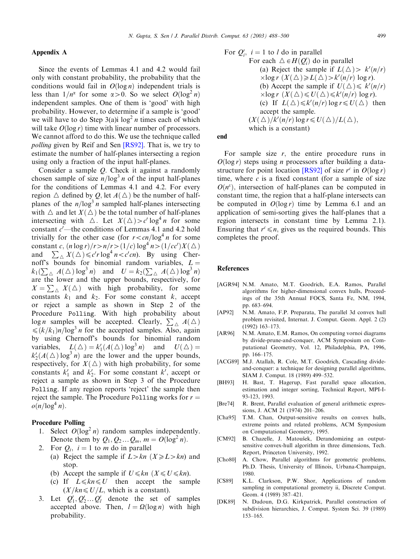# <span id="page-11-0"></span>Appendix A

Since the events of Lemmas 4.1 and 4.2 would fail only with constant probability, the probability that the conditions would fail in  $O(\log n)$  independent trials is less than  $1/n^{\alpha}$  for some  $\alpha > 0$ . So we select  $O(\log^2 n)$ independent samples. One of them is 'good' with high probability. However, to determine if a sample is 'good' we will have to do Step  $3(a)$ i log<sup>2</sup> n times each of which will take  $O(\log r)$  time with linear number of processors. We cannot afford to do this. We use the technique called *polling* given by Reif and Sen [\[RS92\]](#page-12-0). That is, we try to estimate the number of half-planes intersecting a region using only a fraction of the input half-planes.

Consider a sample Q: Check it against a randomly chosen sample of size  $n/log^3 n$  of the input half-planes for the conditions of Lemmas 4.1 and 4.2. For every region  $\triangle$  defined by Q, let  $A(\triangle)$  be the number of halfplanes of the  $n/log^3 n$  sampled half-planes intersecting with  $\triangle$  and let  $X(\triangle)$  be the total number of half-planes intersecting with  $\Delta$ . Let  $X(\Delta) > c' \log^4 n$  for some constant  $c'$ —the conditions of Lemmas 4.1 and 4.2 hold trivially for the other case (for  $r < cn/\log^4 n$  for some constant c,  $(n \log r)/r > n/r > (1/c) \log^4 n > (1/cc')X(\triangle)$ and  $\sum_{\Delta} X(\Delta) \leq c' r \log^4 n < c' cn$ ). By using Chernoff's bounds for binomial random variables,  $L =$  $k_1(\sum_{\Delta} A(\Delta) \log^3 n)$  and  $U = k_2(\sum_{\Delta} A(\Delta) \log^3 n)$ are the lower and the upper bounds, respectively, for  $X = \sum_{\Delta} X(\Delta)$  with high probability, for some constants  $k_1$  and  $k_2$ . For some constant k, accept or reject a sample as shown in Step 2 of the Procedure Polling. With high probability about log *n* samples will be accepted. Clearly,  $\sum_{\Delta} A(\Delta)$  $\leq (k/k_1)n/\log^3 n$  for the accepted samples. Also, again by using Chernoff's bounds for binomial random variables,  $L(\Delta) = k_1'(A(\Delta) \log^3 n)$  and  $U(\Delta) =$  $k_2'(A(\triangle) \log^3 n)$  are the lower and the upper bounds, respectively, for  $X(\triangle)$  with high probability, for some constants  $k'_1$  and  $k'_2$ . For some constant k', accept or reject a sample as shown in Step 3 of the Procedure Polling. If any region reports 'reject' the sample then reject the sample. The Procedure Polling works for  $r =$  $o(n/\log^4 n)$ .

### Procedure Polling

- 1. Select  $O(\log^2 n)$  random samples independently. Denote them by  $Q_1, Q_2...Q_m$ ,  $m = O(\log^2 n)$ .
- 2. For  $Q_i$ ,  $i = 1$  to *m* do in parallel
	- (a) Reject the sample if  $L > kn$  ( $X \ge L > kn$ ) and stop.
	- (b) Accept the sample if  $U \le kn$   $(X \le U \le kn)$ .
	- (c) If  $L \leq k n \leq U$  then accept the sample  $(X/kn \le U/L$ , which is a constant).
- 3. Let  $Q'_1, Q'_2...Q'_l$  denote the set of samples accepted above. Then,  $l = \Omega(\log n)$  with high probability.

For 
$$
Q'_i
$$
,  $i = 1$  to  $l$  do in parallel  
\nFor each  $\Delta \in H(Q'_i)$  do in parallel  
\n(a) Reject the sample if  $L(\Delta) > k'(n/r)$   
\n $\times \log r (X(\Delta) \ge L(\Delta) > k'(n/r) \log r)$ .  
\n(b) Accept the sample if  $U(\Delta) \le k'(n/r)$   
\n $\times \log r (X(\Delta) \le U(\Delta) \le k'(n/r) \log r)$ .  
\n(c) If  $L(\Delta) \le k'(n/r) \log r \le U(\Delta)$  then  
\naccept the sample.  
\n $(X(\Delta)/k'(n/r) \log r \le U(\Delta)/L(\Delta))$ ,  
\nwhich is a constant)

end

For sample size  $r$ , the entire procedure runs in  $O(\log r)$  steps using *n* processors after building a data-structure for point location [\[RS92\]](#page-12-0) of size  $r^c$  in  $O(\log r)$ time, where  $c$  is a fixed constant (for a sample of size  $O(n^{\epsilon})$ , intersection of half-planes can be computed in constant time, the region that a half-plane intersects can be computed in  $O(\log r)$  time by Lemma 6.1 and an application of semi-sorting gives the half-planes that a region intersects in constant time by Lemma 2.1). Ensuring that  $r^c \leq n$ , gives us the required bounds. This completes the proof.

#### References

- [AGR94] N.M. Amato, M.T. Goodrich, E.A. Ramos, Parallel algorithms for higher-dimensional convex hulls, Proceedings of the 35th Annual FOCS, Santa Fe, NM, 1994, pp. 683–694.
- [AP92] N.M. Amato, F.P. Preparata, The parallel 3d convex hull problem revisited, Internat. J. Comput. Geom. Appl. 2 (2) (1992) 163–173.
- [AR96] N.M. Amato, E.M. Ramos, On computing vornoi diagrams by divide-prune-and-conquer, ACM Symposium on Computational Geometry, Vol. 12, Philadelphia, PA, 1996, pp. 166–175.
- [ACG89] M.J. Atallah, R. Cole, M.T. Goodrich, Cascading divideand-conquer: a technique for designing parallel algorithms, SIAM J. Comput. 18 (1989) 499–532.
- [BH93] H. Bast, T. Hagerup, Fast parallel space allocation, estimation and integer sorting, Technical Report, MPI-I-93-123, 1993.
- [Bre74] R. Brent, Parallel evaluation of general arithmetic expressions, J. ACM 21 (1974) 201–206.
- [Cha95] T.M. Chan, Output-sensitive results on convex hulls, extreme points and related problems, ACM Symposium on Computational Geometry, 1995.
- [CM92] B. Chazelle, J. Matoušek, Derandomizing an outputsensitive convex-hull algorithm in three dimensions, Tech. Report, Princeton University, 1992.
- [Cho80] A. Chow, Parallel algorithms for geometric problems, Ph.D. Thesis, University of Illinois, Urbana-Champaign, 1980.
- [CS89] K.L. Clarkson, P.W. Shor, Applications of random sampling in computational geometry ii, Discrete Comput. Geom. 4 (1989) 387–421.
- [DK89] N. Dadoun, D.G. Kirkpatrick, Parallel construction of subdivision hierarchies, J. Comput. System Sci. 39 (1989) 153–165.